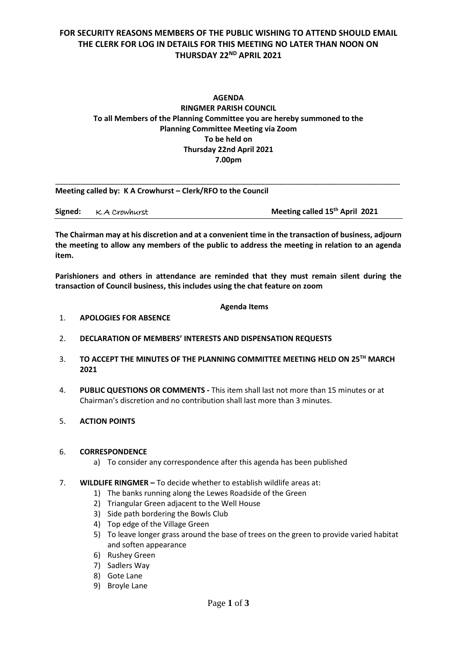# **FOR SECURITY REASONS MEMBERS OF THE PUBLIC WISHING TO ATTEND SHOULD EMAIL THE CLERK FOR LOG IN DETAILS FOR THIS MEETING NO LATER THAN NOON ON THURSDAY 22ND APRIL 2021**

## **AGENDA RINGMER PARISH COUNCIL To all Members of the Planning Committee you are hereby summoned to the Planning Committee Meeting via Zoom To be held on Thursday 22nd April 2021 7.00pm**

| Meeting called by: K A Crowhurst – Clerk/RFO to the Council |                |                                            |  |
|-------------------------------------------------------------|----------------|--------------------------------------------|--|
| Signed:                                                     | K. A Crowhurst | Meeting called 15 <sup>th</sup> April 2021 |  |

**The Chairman may at his discretion and at a convenient time in the transaction of business, adjourn the meeting to allow any members of the public to address the meeting in relation to an agenda item.**

**Parishioners and others in attendance are reminded that they must remain silent during the transaction of Council business, this includes using the chat feature on zoom**

#### **Agenda Items**

- 1. **APOLOGIES FOR ABSENCE**
- 2. **DECLARATION OF MEMBERS' INTERESTS AND DISPENSATION REQUESTS**
- 3. **TO ACCEPT THE MINUTES OF THE PLANNING COMMITTEE MEETING HELD ON 25 TH MARCH 2021**
- 4. **PUBLIC QUESTIONS OR COMMENTS -** This item shall last not more than 15 minutes or at Chairman's discretion and no contribution shall last more than 3 minutes.
- 5. **ACTION POINTS**

#### 6. **CORRESPONDENCE**

- a) To consider any correspondence after this agenda has been published
- 7. **WILDLIFE RINGMER –** To decide whether to establish wildlife areas at:
	- 1) The banks running along the Lewes Roadside of the Green
	- 2) Triangular Green adjacent to the Well House
	- 3) Side path bordering the Bowls Club
	- 4) Top edge of the Village Green
	- 5) To leave longer grass around the base of trees on the green to provide varied habitat and soften appearance
	- 6) Rushey Green
	- 7) Sadlers Way
	- 8) Gote Lane
	- 9) Broyle Lane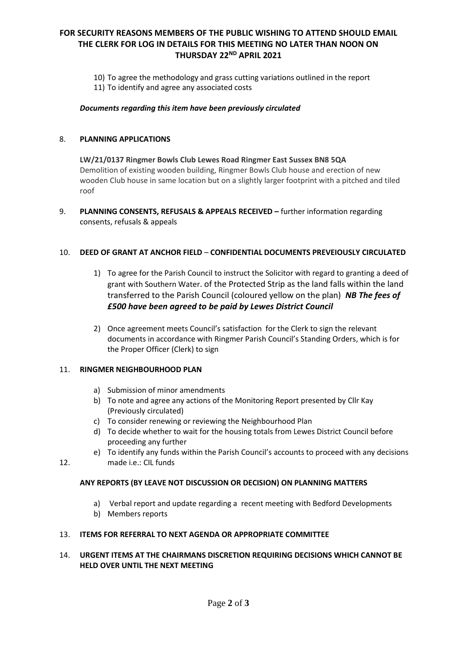# **FOR SECURITY REASONS MEMBERS OF THE PUBLIC WISHING TO ATTEND SHOULD EMAIL THE CLERK FOR LOG IN DETAILS FOR THIS MEETING NO LATER THAN NOON ON THURSDAY 22ND APRIL 2021**

- 10) To agree the methodology and grass cutting variations outlined in the report
- 11) To identify and agree any associated costs

#### *Documents regarding this item have been previously circulated*

#### 8. **PLANNING APPLICATIONS**

**LW/21/0137 Ringmer Bowls Club Lewes Road Ringmer East Sussex BN8 5QA** Demolition of existing wooden building, Ringmer Bowls Club house and erection of new wooden Club house in same location but on a slightly larger footprint with a pitched and tiled roof

9. **PLANNING CONSENTS, REFUSALS & APPEALS RECEIVED –** further information regarding consents, refusals & appeals

#### 10. **DEED OF GRANT AT ANCHOR FIELD** – **CONFIDENTIAL DOCUMENTS PREVEIOUSLY CIRCULATED**

- 1) To agree for the Parish Council to instruct the Solicitor with regard to granting a deed of grant with Southern Water. of the Protected Strip as the land falls within the land transferred to the Parish Council (coloured yellow on the plan) *NB The fees of £500 have been agreed to be paid by Lewes District Council*
- 2) Once agreement meets Council's satisfaction for the Clerk to sign the relevant documents in accordance with Ringmer Parish Council's Standing Orders, which is for the Proper Officer (Clerk) to sign

### 11. **RINGMER NEIGHBOURHOOD PLAN**

- a) Submission of minor amendments
- b) To note and agree any actions of the Monitoring Report presented by Cllr Kay (Previously circulated)
- c) To consider renewing or reviewing the Neighbourhood Plan
- d) To decide whether to wait for the housing totals from Lewes District Council before proceeding any further
- e) To identify any funds within the Parish Council's accounts to proceed with any decisions made i.e.: CIL funds

12.

## **ANY REPORTS (BY LEAVE NOT DISCUSSION OR DECISION) ON PLANNING MATTERS**

- a) Verbal report and update regarding a recent meeting with Bedford Developments
- b) Members reports

#### 13. **ITEMS FOR REFERRAL TO NEXT AGENDA OR APPROPRIATE COMMITTEE**

#### 14. **URGENT ITEMS AT THE CHAIRMANS DISCRETION REQUIRING DECISIONS WHICH CANNOT BE HELD OVER UNTIL THE NEXT MEETING**